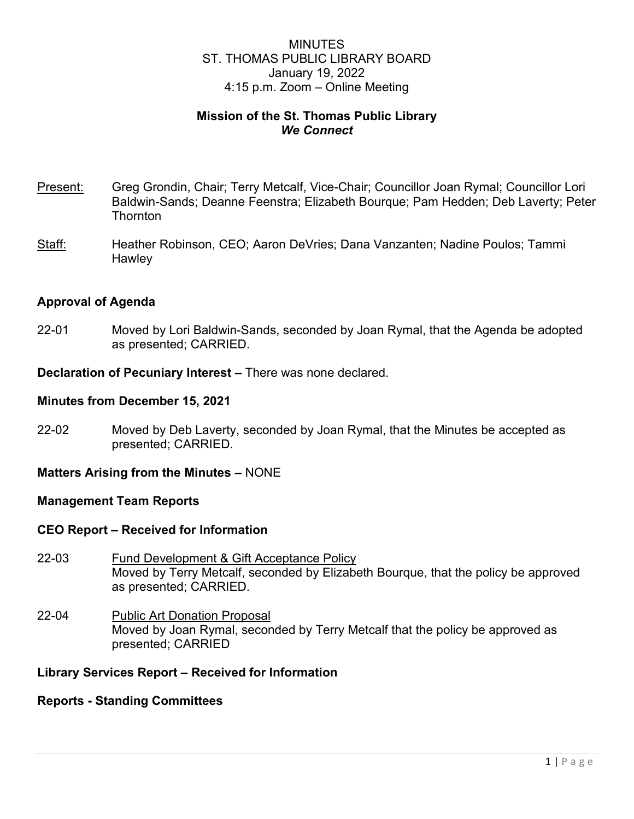# MINUTES ST. THOMAS PUBLIC LIBRARY BOARD January 19, 2022 4:15 p.m. Zoom – Online Meeting

# **Mission of the St. Thomas Public Library** *We Connect*

- Present: Greg Grondin, Chair; Terry Metcalf, Vice-Chair; Councillor Joan Rymal; Councillor Lori Baldwin-Sands; Deanne Feenstra; Elizabeth Bourque; Pam Hedden; Deb Laverty; Peter **Thornton**
- Staff: Heather Robinson, CEO; Aaron DeVries; Dana Vanzanten; Nadine Poulos; Tammi **Hawley**

## **Approval of Agenda**

22-01 Moved by Lori Baldwin-Sands, seconded by Joan Rymal, that the Agenda be adopted as presented; CARRIED.

**Declaration of Pecuniary Interest –** There was none declared.

### **Minutes from December 15, 2021**

22-02 Moved by Deb Laverty, seconded by Joan Rymal, that the Minutes be accepted as presented; CARRIED.

## **Matters Arising from the Minutes –** NONE

#### **Management Team Reports**

#### **CEO Report – Received for Information**

- 22-03 Fund Development & Gift Acceptance Policy Moved by Terry Metcalf, seconded by Elizabeth Bourque, that the policy be approved as presented; CARRIED.
- 22-04 Public Art Donation Proposal Moved by Joan Rymal, seconded by Terry Metcalf that the policy be approved as presented; CARRIED

# **Library Services Report – Received for Information**

#### **Reports - Standing Committees**